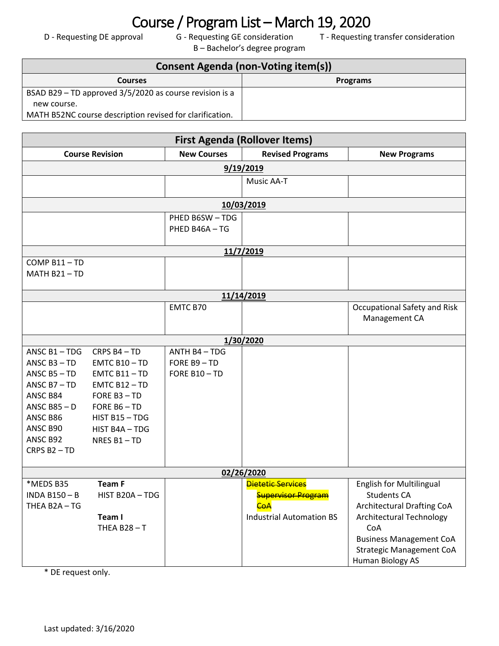## **COURSE / Program List – March 19, 2020**<br> $D - Requesting DE approach$  G - Requesting GE consideration  $T - Requesting$

B – Bachelor's degree program

T - Requesting transfer consideration

| Consent Agenda (non-Voting item(s))                      |                 |  |  |
|----------------------------------------------------------|-----------------|--|--|
| <b>Courses</b>                                           | <b>Programs</b> |  |  |
| BSAD B29 - TD approved 3/5/2020 as course revision is a  |                 |  |  |
| new course.                                              |                 |  |  |
| MATH B52NC course description revised for clarification. |                 |  |  |

| <b>First Agenda (Rollover Items)</b> |                 |                    |                                 |                                   |  |
|--------------------------------------|-----------------|--------------------|---------------------------------|-----------------------------------|--|
| <b>Course Revision</b>               |                 | <b>New Courses</b> | <b>Revised Programs</b>         | <b>New Programs</b>               |  |
|                                      | 9/19/2019       |                    |                                 |                                   |  |
|                                      |                 |                    | Music AA-T                      |                                   |  |
|                                      |                 |                    |                                 |                                   |  |
|                                      |                 |                    | 10/03/2019                      |                                   |  |
|                                      |                 | PHED B6SW-TDG      |                                 |                                   |  |
|                                      |                 | PHED B46A-TG       |                                 |                                   |  |
|                                      |                 |                    | 11/7/2019                       |                                   |  |
| COMP B11-TD                          |                 |                    |                                 |                                   |  |
| MATH B21-TD                          |                 |                    |                                 |                                   |  |
|                                      |                 |                    |                                 |                                   |  |
|                                      |                 |                    | 11/14/2019                      |                                   |  |
|                                      |                 | EMTC B70           |                                 | Occupational Safety and Risk      |  |
|                                      |                 |                    |                                 | Management CA                     |  |
|                                      |                 |                    | 1/30/2020                       |                                   |  |
| ANSC B1-TDG                          | CRPS B4-TD      | ANTH B4-TDG        |                                 |                                   |  |
| ANSC $B3 - TD$                       | $EMTC B10 - TD$ | FORE B9-TD         |                                 |                                   |  |
| ANSC $B5 - TD$                       | $EMTC B11 - TD$ | FORE B10-TD        |                                 |                                   |  |
| ANSC $B7 - TD$                       | $EMTC B12 - TD$ |                    |                                 |                                   |  |
| ANSC B84                             | FORE B3-TD      |                    |                                 |                                   |  |
| ANSC B85 $-$ D                       | FORE $B6 - TD$  |                    |                                 |                                   |  |
| ANSC B86                             | HIST B15-TDG    |                    |                                 |                                   |  |
| ANSC B90                             | HIST B4A - TDG  |                    |                                 |                                   |  |
| ANSC B92                             | NRES B1-TD      |                    |                                 |                                   |  |
| CRPS B <sub>2</sub> - TD             |                 |                    |                                 |                                   |  |
| 02/26/2020                           |                 |                    |                                 |                                   |  |
| *MEDS B35                            | <b>Team F</b>   |                    | <b>Dietetic Services</b>        | <b>English for Multilingual</b>   |  |
| <b>INDA B150-B</b>                   | HIST B20A-TDG   |                    | <b>Supervisor Program</b>       | <b>Students CA</b>                |  |
| THEA B2A-TG                          |                 |                    | <b>CoA</b>                      | <b>Architectural Drafting CoA</b> |  |
|                                      | Team I          |                    | <b>Industrial Automation BS</b> | <b>Architectural Technology</b>   |  |
|                                      | THEA B28-T      |                    |                                 | CoA                               |  |
|                                      |                 |                    |                                 | <b>Business Management CoA</b>    |  |
|                                      |                 |                    |                                 | <b>Strategic Management CoA</b>   |  |
|                                      |                 |                    |                                 | Human Biology AS                  |  |

\* DE request only.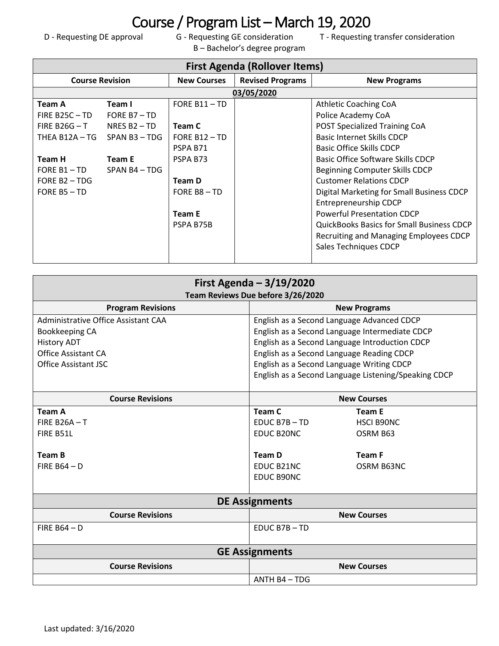## Course / Program List – March 19, 2020<br>
D - Requesting DE approval G - Requesting GE consideration T - Requesting

B – Bachelor's degree program

T - Requesting transfer consideration

| <b>First Agenda (Rollover Items)</b> |                |                    |                         |                                                  |
|--------------------------------------|----------------|--------------------|-------------------------|--------------------------------------------------|
| <b>Course Revision</b>               |                | <b>New Courses</b> | <b>Revised Programs</b> | <b>New Programs</b>                              |
|                                      |                |                    | 03/05/2020              |                                                  |
| Team A                               | Team I         | FORE $B11 - TD$    |                         | <b>Athletic Coaching CoA</b>                     |
| FIRE B25C $-$ TD                     | FORE $B7 - TD$ |                    |                         | Police Academy CoA                               |
| FIRE B26G $-$ T                      | NRES $B2 - TD$ | Team C             |                         | POST Specialized Training CoA                    |
| THEA B12A $-$ TG SPAN B3 $-$ TDG     |                | FORE $B12 - TD$    |                         | <b>Basic Internet Skills CDCP</b>                |
|                                      |                | PSPA B71           |                         | Basic Office Skills CDCP                         |
| Team H                               | Team E         | PSPA B73           |                         | Basic Office Software Skills CDCP                |
| FORE B1 $-$ TD SPAN B4 $-$ TDG       |                |                    |                         | Beginning Computer Skills CDCP                   |
| FORE $B2 - TDG$                      |                | Team D             |                         | <b>Customer Relations CDCP</b>                   |
| FORE B5 - TD                         |                | FORE B8-TD         |                         | Digital Marketing for Small Business CDCP        |
|                                      |                |                    |                         | Entrepreneurship CDCP                            |
|                                      |                | Team E             |                         | <b>Powerful Presentation CDCP</b>                |
|                                      |                | PSPA B75B          |                         | <b>QuickBooks Basics for Small Business CDCP</b> |
|                                      |                |                    |                         | Recruiting and Managing Employees CDCP           |
|                                      |                |                    |                         | Sales Techniques CDCP                            |
|                                      |                |                    |                         |                                                  |

| First Agenda $-3/19/2020$<br>Team Reviews Due before 3/26/2020 |                                                      |                   |  |
|----------------------------------------------------------------|------------------------------------------------------|-------------------|--|
| <b>Program Revisions</b>                                       | <b>New Programs</b>                                  |                   |  |
| Administrative Office Assistant CAA                            | English as a Second Language Advanced CDCP           |                   |  |
| Bookkeeping CA                                                 | English as a Second Language Intermediate CDCP       |                   |  |
| <b>History ADT</b>                                             | English as a Second Language Introduction CDCP       |                   |  |
| <b>Office Assistant CA</b>                                     | English as a Second Language Reading CDCP            |                   |  |
| Office Assistant ISC                                           | English as a Second Language Writing CDCP            |                   |  |
|                                                                | English as a Second Language Listening/Speaking CDCP |                   |  |
| <b>Course Revisions</b>                                        | <b>New Courses</b>                                   |                   |  |
| <b>Team A</b>                                                  | <b>Team C</b>                                        | <b>Team E</b>     |  |
| FIRF $B26A - T$                                                | $FDUC B7B - TD$                                      | <b>HSCI B90NC</b> |  |
| FIRE B51L                                                      | EDUC B20NC                                           | OSRM B63          |  |
| Team B                                                         | <b>Team D</b>                                        | <b>Team F</b>     |  |
| FIRF $B64 - D$                                                 | FDUC B21NC                                           | OSRM B63NC        |  |
|                                                                | EDUC B90NC                                           |                   |  |
| <b>DE Assignments</b>                                          |                                                      |                   |  |
| <b>Course Revisions</b>                                        | <b>New Courses</b>                                   |                   |  |
| FIRE $B64 - D$                                                 | EDUC B7B-TD                                          |                   |  |
| <b>GE Assignments</b>                                          |                                                      |                   |  |
| <b>Course Revisions</b>                                        | <b>New Courses</b>                                   |                   |  |
| ANTH B4 - TDG                                                  |                                                      |                   |  |